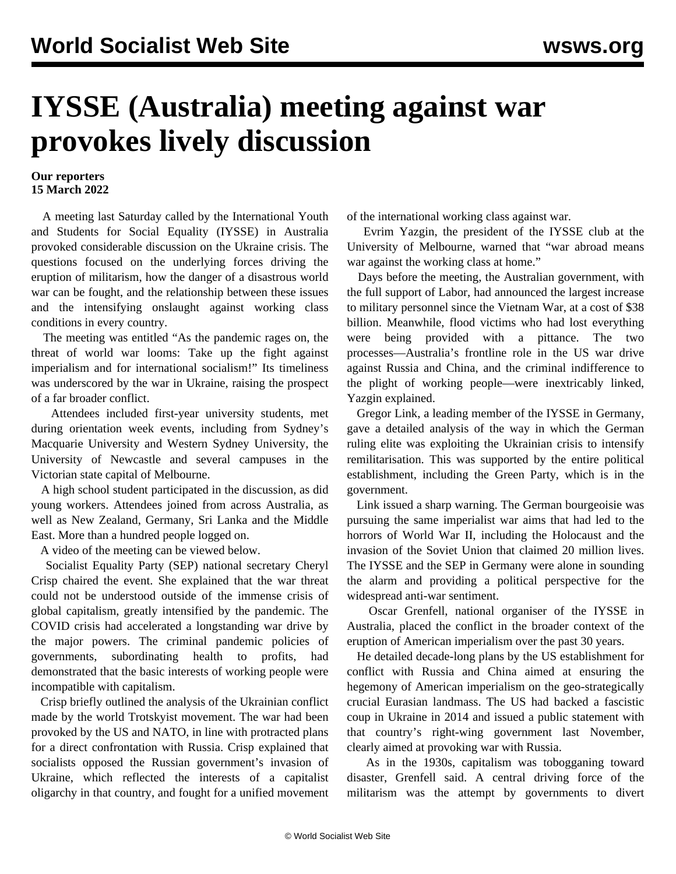## **IYSSE (Australia) meeting against war provokes lively discussion**

## **Our reporters 15 March 2022**

 A meeting last Saturday called by the International Youth and Students for Social Equality (IYSSE) in Australia provoked considerable discussion on the Ukraine crisis. The questions focused on the underlying forces driving the eruption of militarism, how the danger of a disastrous world war can be fought, and the relationship between these issues and the intensifying onslaught against working class conditions in every country.

 The meeting was entitled "As the pandemic rages on, the threat of world war looms: Take up the fight against imperialism and for international socialism!" Its timeliness was underscored by the war in Ukraine, raising the prospect of a far broader conflict.

 Attendees included first-year university students, met during orientation week events, including from Sydney's Macquarie University and Western Sydney University, the University of Newcastle and several campuses in the Victorian state capital of Melbourne.

 A high school student participated in the discussion, as did young workers. Attendees joined from across Australia, as well as New Zealand, Germany, Sri Lanka and the Middle East. More than a hundred people logged on.

A video of the meeting can be viewed below.

 Socialist Equality Party (SEP) national secretary Cheryl Crisp chaired the event. She explained that the war threat could not be understood outside of the immense crisis of global capitalism, greatly intensified by the pandemic. The COVID crisis had accelerated a longstanding war drive by the major powers. The criminal pandemic policies of governments, subordinating health to profits, had demonstrated that the basic interests of working people were incompatible with capitalism.

 Crisp briefly outlined the analysis of the Ukrainian conflict made by the world Trotskyist movement. The war had been provoked by the US and NATO, in line with protracted plans for a direct confrontation with Russia. Crisp explained that socialists opposed the Russian government's invasion of Ukraine, which reflected the interests of a capitalist oligarchy in that country, and fought for a unified movement

of the international working class against war.

 Evrim Yazgin, the president of the IYSSE club at the University of Melbourne, warned that "war abroad means war against the working class at home."

 Days before the meeting, the Australian government, with the full support of Labor, had announced the largest increase to military personnel since the Vietnam War, at a cost of \$38 billion. Meanwhile, flood victims who had lost everything were being provided with a pittance. The two processes—Australia's frontline role in the US war drive against Russia and China, and the criminal indifference to the plight of working people—were inextricably linked, Yazgin explained.

 Gregor Link, a leading member of the IYSSE in Germany, gave a detailed analysis of the way in which the German ruling elite was exploiting the Ukrainian crisis to intensify remilitarisation. This was supported by the entire political establishment, including the Green Party, which is in the government.

 Link issued a sharp warning. The German bourgeoisie was pursuing the same imperialist war aims that had led to the horrors of World War II, including the Holocaust and the invasion of the Soviet Union that claimed 20 million lives. The IYSSE and the SEP in Germany were alone in sounding the alarm and providing a political perspective for the widespread anti-war sentiment.

 Oscar Grenfell, national organiser of the IYSSE in Australia, placed the conflict in the broader context of the eruption of American imperialism over the past 30 years.

 He detailed decade-long plans by the US establishment for conflict with Russia and China aimed at ensuring the hegemony of American imperialism on the geo-strategically crucial Eurasian landmass. The US had backed a fascistic coup in Ukraine in 2014 and issued a public statement with that country's right-wing government last November, clearly aimed at provoking war with Russia.

 As in the 1930s, capitalism was tobogganing toward disaster, Grenfell said. A central driving force of the militarism was the attempt by governments to divert